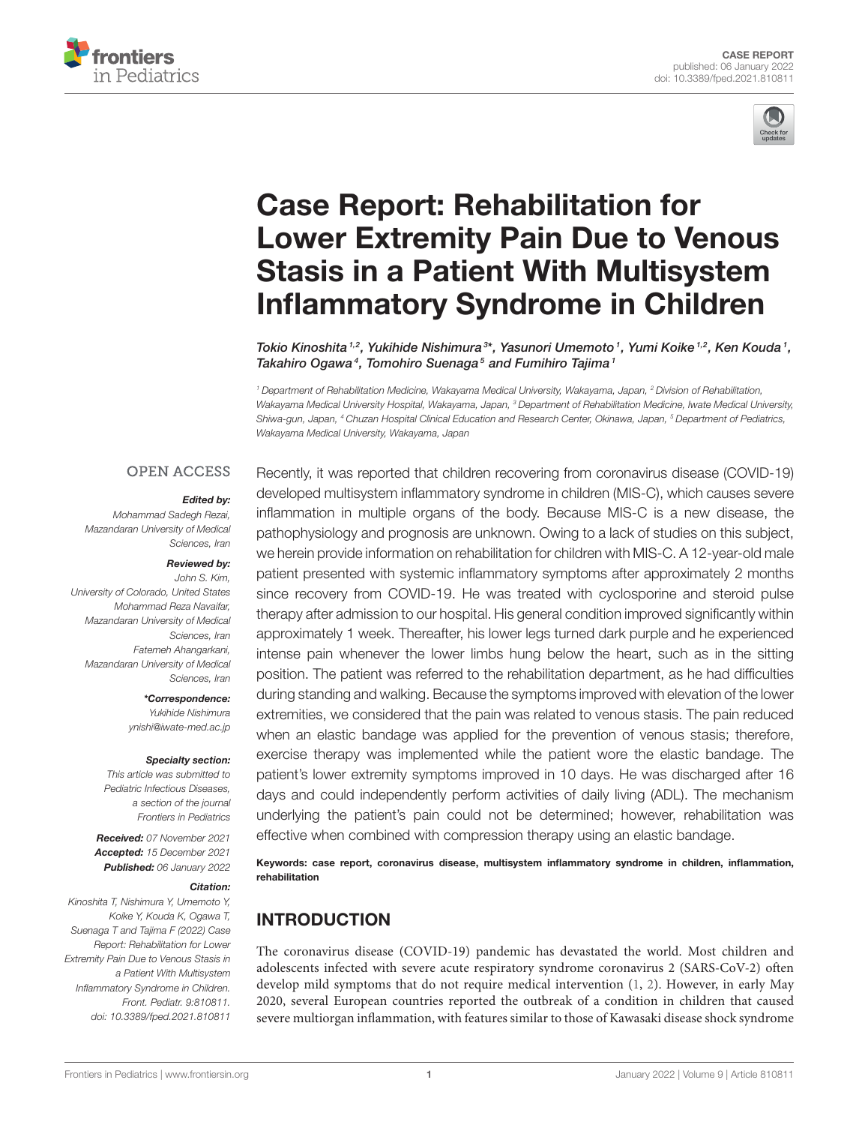



# Case Report: Rehabilitation for [Lower Extremity Pain Due to Venous](https://www.frontiersin.org/articles/10.3389/fped.2021.810811/full) Stasis in a Patient With Multisystem Inflammatory Syndrome in Children

Tokio Kinoshita 1,2, Yukihide Nishimura 3\*, Yasunori Umemoto 1, Yumi Koike 1,2, Ken Kouda 1, Takahiro Ogawa<sup>4</sup>, Tomohiro Suenaga<sup>5</sup> and Fumihiro Tajima<sup>1</sup>

*<sup>1</sup> Department of Rehabilitation Medicine, Wakayama Medical University, Wakayama, Japan, <sup>2</sup> Division of Rehabilitation, Wakayama Medical University Hospital, Wakayama, Japan, <sup>3</sup> Department of Rehabilitation Medicine, Iwate Medical University, Shiwa-gun, Japan, <sup>4</sup> Chuzan Hospital Clinical Education and Research Center, Okinawa, Japan, <sup>5</sup> Department of Pediatrics, Wakayama Medical University, Wakayama, Japan*

## **OPEN ACCESS**

### Edited by:

*Mohammad Sadegh Rezai, Mazandaran University of Medical Sciences, Iran*

#### Reviewed by:

*John S. Kim, University of Colorado, United States Mohammad Reza Navaifar, Mazandaran University of Medical Sciences, Iran Fatemeh Ahangarkani, Mazandaran University of Medical Sciences, Iran*

> \*Correspondence: *Yukihide Nishimura [ynishi@iwate-med.ac.jp](mailto:ynishi@iwate-med.ac.jp)*

#### Specialty section:

*This article was submitted to Pediatric Infectious Diseases, a section of the journal Frontiers in Pediatrics*

Received: *07 November 2021* Accepted: *15 December 2021* Published: *06 January 2022*

#### Citation:

*Kinoshita T, Nishimura Y, Umemoto Y, Koike Y, Kouda K, Ogawa T, Suenaga T and Tajima F (2022) Case Report: Rehabilitation for Lower Extremity Pain Due to Venous Stasis in a Patient With Multisystem Inflammatory Syndrome in Children. Front. Pediatr. 9:810811. doi: [10.3389/fped.2021.810811](https://doi.org/10.3389/fped.2021.810811)* Recently, it was reported that children recovering from coronavirus disease (COVID-19) developed multisystem inflammatory syndrome in children (MIS-C), which causes severe inflammation in multiple organs of the body. Because MIS-C is a new disease, the pathophysiology and prognosis are unknown. Owing to a lack of studies on this subject, we herein provide information on rehabilitation for children with MIS-C. A 12-year-old male patient presented with systemic inflammatory symptoms after approximately 2 months since recovery from COVID-19. He was treated with cyclosporine and steroid pulse therapy after admission to our hospital. His general condition improved significantly within approximately 1 week. Thereafter, his lower legs turned dark purple and he experienced intense pain whenever the lower limbs hung below the heart, such as in the sitting position. The patient was referred to the rehabilitation department, as he had difficulties during standing and walking. Because the symptoms improved with elevation of the lower extremities, we considered that the pain was related to venous stasis. The pain reduced when an elastic bandage was applied for the prevention of venous stasis; therefore, exercise therapy was implemented while the patient wore the elastic bandage. The patient's lower extremity symptoms improved in 10 days. He was discharged after 16 days and could independently perform activities of daily living (ADL). The mechanism underlying the patient's pain could not be determined; however, rehabilitation was effective when combined with compression therapy using an elastic bandage.

Keywords: case report, coronavirus disease, multisystem inflammatory syndrome in children, inflammation, rehabilitation

# INTRODUCTION

The coronavirus disease (COVID-19) pandemic has devastated the world. Most children and adolescents infected with severe acute respiratory syndrome coronavirus 2 (SARS-CoV-2) often develop mild symptoms that do not require medical intervention [\(1,](#page-3-0) [2\)](#page-3-1). However, in early May 2020, several European countries reported the outbreak of a condition in children that caused severe multiorgan inflammation, with features similar to those of Kawasaki disease shock syndrome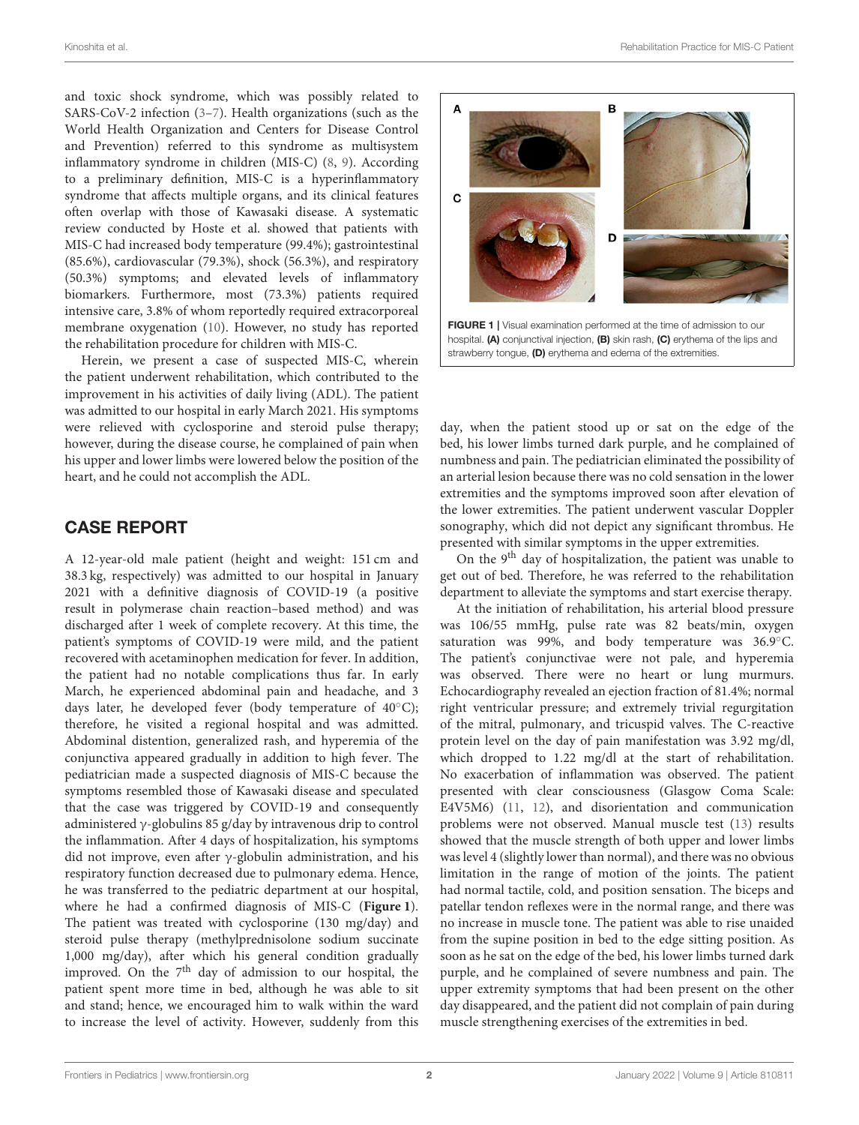and toxic shock syndrome, which was possibly related to SARS-CoV-2 infection [\(3–](#page-3-2)[7\)](#page-3-3). Health organizations (such as the World Health Organization and Centers for Disease Control and Prevention) referred to this syndrome as multisystem inflammatory syndrome in children (MIS-C) [\(8,](#page-3-4) [9\)](#page-3-5). According to a preliminary definition, MIS-C is a hyperinflammatory syndrome that affects multiple organs, and its clinical features often overlap with those of Kawasaki disease. A systematic review conducted by Hoste et al. showed that patients with MIS-C had increased body temperature (99.4%); gastrointestinal (85.6%), cardiovascular (79.3%), shock (56.3%), and respiratory (50.3%) symptoms; and elevated levels of inflammatory biomarkers. Furthermore, most (73.3%) patients required intensive care, 3.8% of whom reportedly required extracorporeal membrane oxygenation [\(10\)](#page-3-6). However, no study has reported the rehabilitation procedure for children with MIS-C.

Herein, we present a case of suspected MIS-C, wherein the patient underwent rehabilitation, which contributed to the improvement in his activities of daily living (ADL). The patient was admitted to our hospital in early March 2021. His symptoms were relieved with cyclosporine and steroid pulse therapy; however, during the disease course, he complained of pain when his upper and lower limbs were lowered below the position of the heart, and he could not accomplish the ADL.

# CASE REPORT

A 12-year-old male patient (height and weight: 151 cm and 38.3 kg, respectively) was admitted to our hospital in January 2021 with a definitive diagnosis of COVID-19 (a positive result in polymerase chain reaction–based method) and was discharged after 1 week of complete recovery. At this time, the patient's symptoms of COVID-19 were mild, and the patient recovered with acetaminophen medication for fever. In addition, the patient had no notable complications thus far. In early March, he experienced abdominal pain and headache, and 3 days later, he developed fever (body temperature of  $40^{\circ}$ C); therefore, he visited a regional hospital and was admitted. Abdominal distention, generalized rash, and hyperemia of the conjunctiva appeared gradually in addition to high fever. The pediatrician made a suspected diagnosis of MIS-C because the symptoms resembled those of Kawasaki disease and speculated that the case was triggered by COVID-19 and consequently administered γ-globulins 85 g/day by intravenous drip to control the inflammation. After 4 days of hospitalization, his symptoms did not improve, even after  $\gamma$ -globulin administration, and his respiratory function decreased due to pulmonary edema. Hence, he was transferred to the pediatric department at our hospital, where he had a confirmed diagnosis of MIS-C (**[Figure 1](#page-1-0)**). The patient was treated with cyclosporine (130 mg/day) and steroid pulse therapy (methylprednisolone sodium succinate 1,000 mg/day), after which his general condition gradually improved. On the  $7<sup>th</sup>$  day of admission to our hospital, the patient spent more time in bed, although he was able to sit and stand; hence, we encouraged him to walk within the ward to increase the level of activity. However, suddenly from this



<span id="page-1-0"></span>hospital. (A) conjunctival injection, (B) skin rash, (C) erythema of the lips and strawberry tongue, (D) erythema and edema of the extremities.

day, when the patient stood up or sat on the edge of the bed, his lower limbs turned dark purple, and he complained of numbness and pain. The pediatrician eliminated the possibility of an arterial lesion because there was no cold sensation in the lower extremities and the symptoms improved soon after elevation of the lower extremities. The patient underwent vascular Doppler sonography, which did not depict any significant thrombus. He presented with similar symptoms in the upper extremities.

On the  $9<sup>th</sup>$  day of hospitalization, the patient was unable to get out of bed. Therefore, he was referred to the rehabilitation department to alleviate the symptoms and start exercise therapy.

At the initiation of rehabilitation, his arterial blood pressure was 106/55 mmHg, pulse rate was 82 beats/min, oxygen saturation was 99%, and body temperature was 36.9°C. The patient's conjunctivae were not pale, and hyperemia was observed. There were no heart or lung murmurs. Echocardiography revealed an ejection fraction of 81.4%; normal right ventricular pressure; and extremely trivial regurgitation of the mitral, pulmonary, and tricuspid valves. The C-reactive protein level on the day of pain manifestation was 3.92 mg/dl, which dropped to 1.22 mg/dl at the start of rehabilitation. No exacerbation of inflammation was observed. The patient presented with clear consciousness (Glasgow Coma Scale: E4V5M6) [\(11,](#page-3-7) [12\)](#page-3-8), and disorientation and communication problems were not observed. Manual muscle test [\(13\)](#page-3-9) results showed that the muscle strength of both upper and lower limbs was level 4 (slightly lower than normal), and there was no obvious limitation in the range of motion of the joints. The patient had normal tactile, cold, and position sensation. The biceps and patellar tendon reflexes were in the normal range, and there was no increase in muscle tone. The patient was able to rise unaided from the supine position in bed to the edge sitting position. As soon as he sat on the edge of the bed, his lower limbs turned dark purple, and he complained of severe numbness and pain. The upper extremity symptoms that had been present on the other day disappeared, and the patient did not complain of pain during muscle strengthening exercises of the extremities in bed.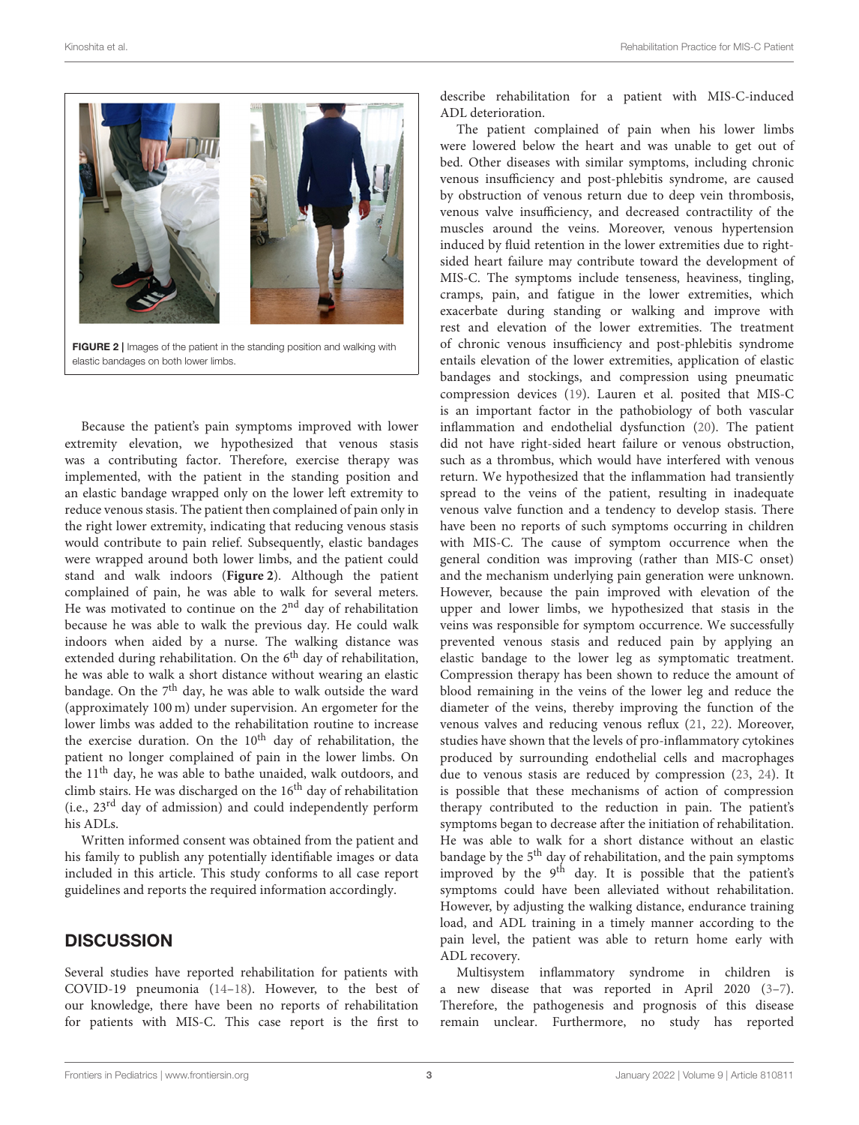

FIGURE 2 | Images of the patient in the standing position and walking with elastic bandages on both lower limbs.

<span id="page-2-0"></span>Because the patient's pain symptoms improved with lower extremity elevation, we hypothesized that venous stasis was a contributing factor. Therefore, exercise therapy was implemented, with the patient in the standing position and an elastic bandage wrapped only on the lower left extremity to reduce venous stasis. The patient then complained of pain only in the right lower extremity, indicating that reducing venous stasis would contribute to pain relief. Subsequently, elastic bandages were wrapped around both lower limbs, and the patient could stand and walk indoors (**[Figure 2](#page-2-0)**). Although the patient complained of pain, he was able to walk for several meters. He was motivated to continue on the 2<sup>nd</sup> day of rehabilitation because he was able to walk the previous day. He could walk indoors when aided by a nurse. The walking distance was extended during rehabilitation. On the 6<sup>th</sup> day of rehabilitation, he was able to walk a short distance without wearing an elastic bandage. On the  $7<sup>th</sup>$  day, he was able to walk outside the ward (approximately 100 m) under supervision. An ergometer for the lower limbs was added to the rehabilitation routine to increase the exercise duration. On the  $10<sup>th</sup>$  day of rehabilitation, the patient no longer complained of pain in the lower limbs. On the 11<sup>th</sup> day, he was able to bathe unaided, walk outdoors, and climb stairs. He was discharged on the 16<sup>th</sup> day of rehabilitation (i.e., 23rd day of admission) and could independently perform his ADLs.

Written informed consent was obtained from the patient and his family to publish any potentially identifiable images or data included in this article. This study conforms to all case report guidelines and reports the required information accordingly.

## **DISCUSSION**

Several studies have reported rehabilitation for patients with COVID-19 pneumonia [\(14](#page-3-10)[–18\)](#page-4-0). However, to the best of our knowledge, there have been no reports of rehabilitation for patients with MIS-C. This case report is the first to describe rehabilitation for a patient with MIS-C-induced ADL deterioration.

The patient complained of pain when his lower limbs were lowered below the heart and was unable to get out of bed. Other diseases with similar symptoms, including chronic venous insufficiency and post-phlebitis syndrome, are caused by obstruction of venous return due to deep vein thrombosis, venous valve insufficiency, and decreased contractility of the muscles around the veins. Moreover, venous hypertension induced by fluid retention in the lower extremities due to rightsided heart failure may contribute toward the development of MIS-C. The symptoms include tenseness, heaviness, tingling, cramps, pain, and fatigue in the lower extremities, which exacerbate during standing or walking and improve with rest and elevation of the lower extremities. The treatment of chronic venous insufficiency and post-phlebitis syndrome entails elevation of the lower extremities, application of elastic bandages and stockings, and compression using pneumatic compression devices [\(19\)](#page-4-1). Lauren et al. posited that MIS-C is an important factor in the pathobiology of both vascular inflammation and endothelial dysfunction [\(20\)](#page-4-2). The patient did not have right-sided heart failure or venous obstruction, such as a thrombus, which would have interfered with venous return. We hypothesized that the inflammation had transiently spread to the veins of the patient, resulting in inadequate venous valve function and a tendency to develop stasis. There have been no reports of such symptoms occurring in children with MIS-C. The cause of symptom occurrence when the general condition was improving (rather than MIS-C onset) and the mechanism underlying pain generation were unknown. However, because the pain improved with elevation of the upper and lower limbs, we hypothesized that stasis in the veins was responsible for symptom occurrence. We successfully prevented venous stasis and reduced pain by applying an elastic bandage to the lower leg as symptomatic treatment. Compression therapy has been shown to reduce the amount of blood remaining in the veins of the lower leg and reduce the diameter of the veins, thereby improving the function of the venous valves and reducing venous reflux [\(21,](#page-4-3) [22\)](#page-4-4). Moreover, studies have shown that the levels of pro-inflammatory cytokines produced by surrounding endothelial cells and macrophages due to venous stasis are reduced by compression [\(23,](#page-4-5) [24\)](#page-4-6). It is possible that these mechanisms of action of compression therapy contributed to the reduction in pain. The patient's symptoms began to decrease after the initiation of rehabilitation. He was able to walk for a short distance without an elastic bandage by the  $5<sup>th</sup>$  day of rehabilitation, and the pain symptoms improved by the 9<sup>th</sup> day. It is possible that the patient's symptoms could have been alleviated without rehabilitation. However, by adjusting the walking distance, endurance training load, and ADL training in a timely manner according to the pain level, the patient was able to return home early with ADL recovery.

Multisystem inflammatory syndrome in children is a new disease that was reported in April 2020 [\(3](#page-3-2)[–7\)](#page-3-3). Therefore, the pathogenesis and prognosis of this disease remain unclear. Furthermore, no study has reported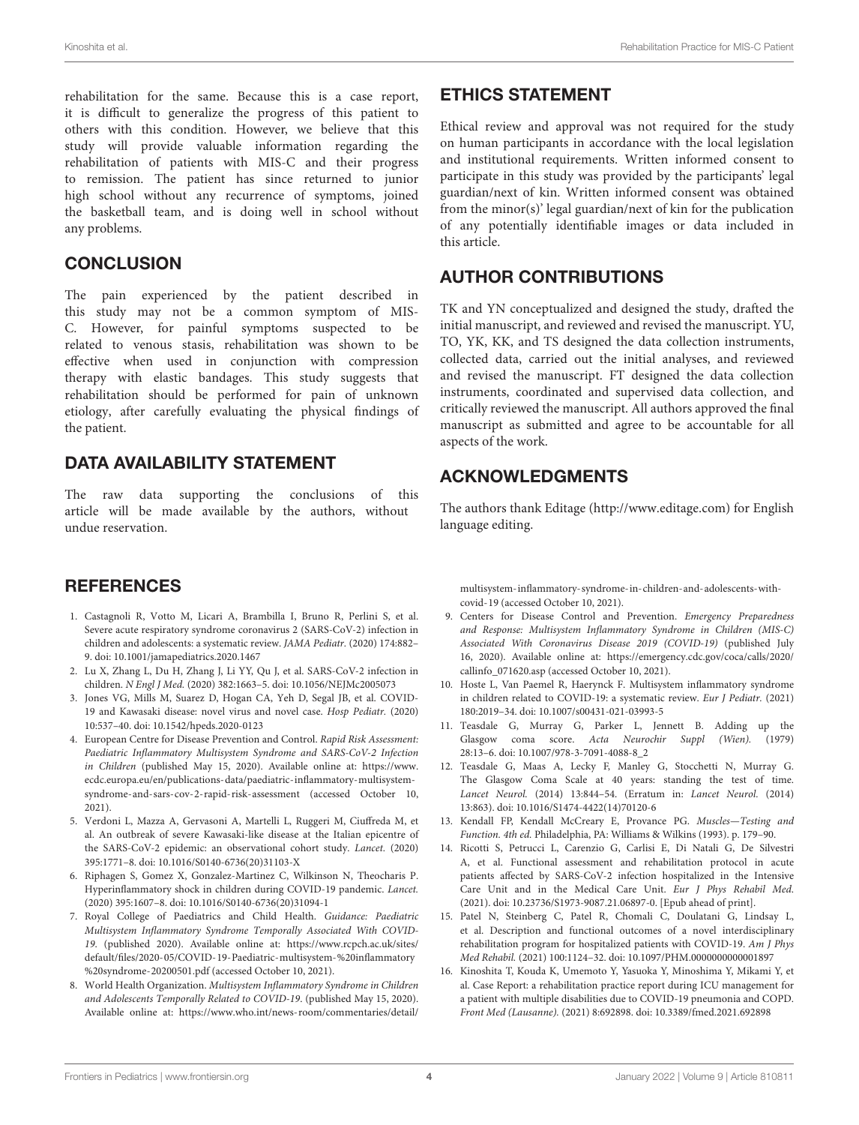rehabilitation for the same. Because this is a case report, it is difficult to generalize the progress of this patient to others with this condition. However, we believe that this study will provide valuable information regarding the rehabilitation of patients with MIS-C and their progress to remission. The patient has since returned to junior high school without any recurrence of symptoms, joined the basketball team, and is doing well in school without any problems.

## **CONCLUSION**

The pain experienced by the patient described in this study may not be a common symptom of MIS-C. However, for painful symptoms suspected to be related to venous stasis, rehabilitation was shown to be effective when used in conjunction with compression therapy with elastic bandages. This study suggests that rehabilitation should be performed for pain of unknown etiology, after carefully evaluating the physical findings of the patient.

# DATA AVAILABILITY STATEMENT

The raw data supporting the conclusions of this article will be made available by the authors, without undue reservation.

# **REFERENCES**

- <span id="page-3-0"></span>1. Castagnoli R, Votto M, Licari A, Brambilla I, Bruno R, Perlini S, et al. Severe acute respiratory syndrome coronavirus 2 (SARS-CoV-2) infection in children and adolescents: a systematic review. JAMA Pediatr. (2020) 174:882– 9. doi: [10.1001/jamapediatrics.2020.1467](https://doi.org/10.1001/jamapediatrics.2020.1467)
- <span id="page-3-1"></span>2. Lu X, Zhang L, Du H, Zhang J, Li YY, Qu J, et al. SARS-CoV-2 infection in children. N Engl J Med. (2020) 382:1663–5. doi: [10.1056/NEJMc2005073](https://doi.org/10.1056/NEJMc2005073)
- <span id="page-3-2"></span>3. Jones VG, Mills M, Suarez D, Hogan CA, Yeh D, Segal JB, et al. COVID-19 and Kawasaki disease: novel virus and novel case. Hosp Pediatr. (2020) 10:537–40. doi: [10.1542/hpeds.2020-0123](https://doi.org/10.1542/hpeds.2020-0123)
- 4. European Centre for Disease Prevention and Control. Rapid Risk Assessment: Paediatric Inflammatory Multisystem Syndrome and SARS-CoV-2 Infection in Children (published May 15, 2020). Available online at: [https://www.](https://www.ecdc.europa.eu/en/publications-data/paediatric-inflammatory-multisystem-syndrome-and-sars-cov-2-rapid-risk-assessment) [ecdc.europa.eu/en/publications-data/paediatric-inflammatory-multisystem](https://www.ecdc.europa.eu/en/publications-data/paediatric-inflammatory-multisystem-syndrome-and-sars-cov-2-rapid-risk-assessment)[syndrome-and-sars-cov-2-rapid-risk-assessment](https://www.ecdc.europa.eu/en/publications-data/paediatric-inflammatory-multisystem-syndrome-and-sars-cov-2-rapid-risk-assessment) (accessed October 10, 2021).
- 5. Verdoni L, Mazza A, Gervasoni A, Martelli L, Ruggeri M, Ciuffreda M, et al. An outbreak of severe Kawasaki-like disease at the Italian epicentre of the SARS-CoV-2 epidemic: an observational cohort study. Lancet. (2020) 395:1771–8. doi: [10.1016/S0140-6736\(20\)31103-X](https://doi.org/10.1016/S0140-6736(20)31103-X)
- 6. Riphagen S, Gomez X, Gonzalez-Martinez C, Wilkinson N, Theocharis P. Hyperinflammatory shock in children during COVID-19 pandemic. Lancet. (2020) 395:1607–8. doi: [10.1016/S0140-6736\(20\)31094-1](https://doi.org/10.1016/S0140-6736(20)31094-1)
- <span id="page-3-3"></span>7. Royal College of Paediatrics and Child Health. Guidance: Paediatric Multisystem Inflammatory Syndrome Temporally Associated With COVID-19. (published 2020). Available online at: [https://www.rcpch.ac.uk/sites/](https://www.rcpch.ac.uk/sites/default/files/2020-05/COVID-19-Paediatric-multisystem-%20inflammatory%20syndrome-20200501.pdf) [default/files/2020-05/COVID-19-Paediatric-multisystem-%20inflammatory](https://www.rcpch.ac.uk/sites/default/files/2020-05/COVID-19-Paediatric-multisystem-%20inflammatory%20syndrome-20200501.pdf) [%20syndrome-20200501.pdf](https://www.rcpch.ac.uk/sites/default/files/2020-05/COVID-19-Paediatric-multisystem-%20inflammatory%20syndrome-20200501.pdf) (accessed October 10, 2021).
- <span id="page-3-4"></span>8. World Health Organization. Multisystem Inflammatory Syndrome in Children and Adolescents Temporally Related to COVID-19. (published May 15, 2020). Available online at: [https://www.who.int/news-room/commentaries/detail/](https://www.who.int/news-room/commentaries/detail/multisystem-inflammatory-syndrome-in-children-and-adolescents-with-covid-19)

# ETHICS STATEMENT

Ethical review and approval was not required for the study on human participants in accordance with the local legislation and institutional requirements. Written informed consent to participate in this study was provided by the participants' legal guardian/next of kin. Written informed consent was obtained from the minor(s)' legal guardian/next of kin for the publication of any potentially identifiable images or data included in this article.

# AUTHOR CONTRIBUTIONS

TK and YN conceptualized and designed the study, drafted the initial manuscript, and reviewed and revised the manuscript. YU, TO, YK, KK, and TS designed the data collection instruments, collected data, carried out the initial analyses, and reviewed and revised the manuscript. FT designed the data collection instruments, coordinated and supervised data collection, and critically reviewed the manuscript. All authors approved the final manuscript as submitted and agree to be accountable for all aspects of the work.

# ACKNOWLEDGMENTS

The authors thank Editage [\(http://www.editage.com\)](http://www.editage.com) for English language editing.

[multisystem-inflammatory-syndrome-in-children-and-adolescents-with](https://www.who.int/news-room/commentaries/detail/multisystem-inflammatory-syndrome-in-children-and-adolescents-with-covid-19)[covid-19](https://www.who.int/news-room/commentaries/detail/multisystem-inflammatory-syndrome-in-children-and-adolescents-with-covid-19) (accessed October 10, 2021).

- <span id="page-3-5"></span>9. Centers for Disease Control and Prevention. Emergency Preparedness and Response: Multisystem Inflammatory Syndrome in Children (MIS-C) Associated With Coronavirus Disease 2019 (COVID-19) (published July 16, 2020). Available online at: [https://emergency.cdc.gov/coca/calls/2020/](https://emergency.cdc.gov/coca/calls/2020/callinfo_071620.asp) [callinfo\\_071620.asp](https://emergency.cdc.gov/coca/calls/2020/callinfo_071620.asp) (accessed October 10, 2021).
- <span id="page-3-6"></span>10. Hoste L, Van Paemel R, Haerynck F. Multisystem inflammatory syndrome in children related to COVID-19: a systematic review. Eur J Pediatr. (2021) 180:2019–34. doi: [10.1007/s00431-021-03993-5](https://doi.org/10.1007/s00431-021-03993-5)
- <span id="page-3-7"></span>11. Teasdale G, Murray G, Parker L, Jennett B. Adding up the Glasgow coma score. Acta Neurochir Suppl (Wien). (1979) 28:13–6. doi: [10.1007/978-3-7091-4088-8\\_2](https://doi.org/10.1007/978-3-7091-4088-8_2)
- <span id="page-3-8"></span>12. Teasdale G, Maas A, Lecky F, Manley G, Stocchetti N, Murray G. The Glasgow Coma Scale at 40 years: standing the test of time. Lancet Neurol. (2014) 13:844–54. (Erratum in: Lancet Neurol. (2014) 13:863). doi: [10.1016/S1474-4422\(14\)70120-6](https://doi.org/10.1016/S1474-4422(14)70120-6)
- <span id="page-3-9"></span>13. Kendall FP, Kendall McCreary E, Provance PG. Muscles—Testing and Function. 4th ed. Philadelphia, PA: Williams & Wilkins (1993). p. 179–90.
- <span id="page-3-10"></span>14. Ricotti S, Petrucci L, Carenzio G, Carlisi E, Di Natali G, De Silvestri A, et al. Functional assessment and rehabilitation protocol in acute patients affected by SARS-CoV-2 infection hospitalized in the Intensive Care Unit and in the Medical Care Unit. Eur J Phys Rehabil Med. (2021). doi: [10.23736/S1973-9087.21.06897-0.](https://doi.org/10.23736/S1973-9087.21.06897-0) [Epub ahead of print].
- 15. Patel N, Steinberg C, Patel R, Chomali C, Doulatani G, Lindsay L, et al. Description and functional outcomes of a novel interdisciplinary rehabilitation program for hospitalized patients with COVID-19. Am J Phys Med Rehabil. (2021) 100:1124–32. doi: [10.1097/PHM.0000000000001897](https://doi.org/10.1097/PHM.0000000000001897)
- 16. Kinoshita T, Kouda K, Umemoto Y, Yasuoka Y, Minoshima Y, Mikami Y, et al. Case Report: a rehabilitation practice report during ICU management for a patient with multiple disabilities due to COVID-19 pneumonia and COPD. Front Med (Lausanne). (2021) 8:692898. doi: [10.3389/fmed.2021.692898](https://doi.org/10.3389/fmed.2021.692898)